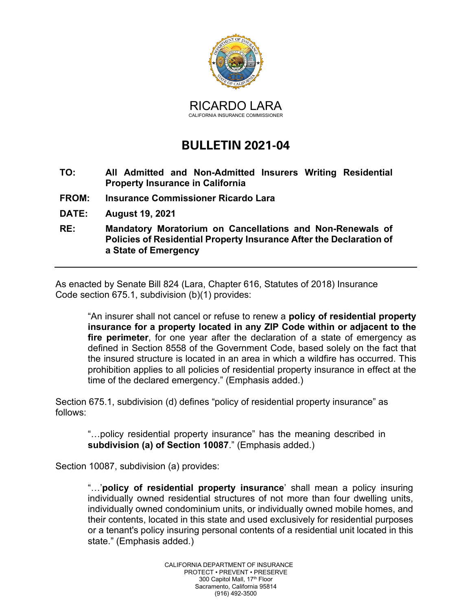

## **BULLETIN 2021-04**

- **TO: All Admitted and Non-Admitted Insurers Writing Residential Property Insurance in California**
- **FROM: Insurance Commissioner Ricardo Lara**
- **DATE: August 19, 2021**
- **RE: Mandatory Moratorium on Cancellations and Non-Renewals of Policies of Residential Property Insurance After the Declaration of a State of Emergency**

As enacted by Senate Bill 824 (Lara, Chapter 616, Statutes of 2018) Insurance Code section 675.1, subdivision (b)(1) provides:

"An insurer shall not cancel or refuse to renew a **policy of residential property insurance for a property located in any ZIP Code within or adjacent to the fire perimeter**, for one year after the declaration of a state of emergency as defined in Section 8558 of the Government Code, based solely on the fact that the insured structure is located in an area in which a wildfire has occurred. This prohibition applies to all policies of residential property insurance in effect at the time of the declared emergency." (Emphasis added.)

Section 675.1, subdivision (d) defines "policy of residential property insurance" as follows:

"…policy residential property insurance" has the meaning described in **subdivision (a) of Section 10087**." (Emphasis added.)

Section 10087, subdivision (a) provides:

"…'**policy of residential property insurance**' shall mean a policy insuring individually owned residential structures of not more than four dwelling units, individually owned condominium units, or individually owned mobile homes, and their contents, located in this state and used exclusively for residential purposes or a tenant's policy insuring personal contents of a residential unit located in this state." (Emphasis added.)

> CALIFORNIA DEPARTMENT OF INSURANCE PROTECT • PREVENT • PRESERVE 300 Capitol Mall, 17<sup>th</sup> Floor Sacramento, California 95814 (916) 492-3500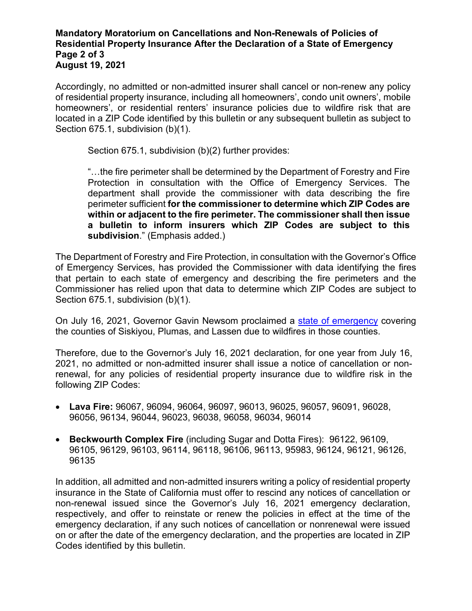## **Mandatory Moratorium on Cancellations and Non-Renewals of Policies of Residential Property Insurance After the Declaration of a State of Emergency Page 2 of 3 August 19, 2021**

Accordingly, no admitted or non-admitted insurer shall cancel or non-renew any policy of residential property insurance, including all homeowners', condo unit owners', mobile homeowners', or residential renters' insurance policies due to wildfire risk that are located in a ZIP Code identified by this bulletin or any subsequent bulletin as subject to Section 675.1, subdivision (b)(1).

Section 675.1, subdivision (b)(2) further provides:

"…the fire perimeter shall be determined by the Department of Forestry and Fire Protection in consultation with the Office of Emergency Services. The department shall provide the commissioner with data describing the fire perimeter sufficient **for the commissioner to determine which ZIP Codes are within or adjacent to the fire perimeter. The commissioner shall then issue a bulletin to inform insurers which ZIP Codes are subject to this subdivision**." (Emphasis added.)

The Department of Forestry and Fire Protection, in consultation with the Governor's Office of Emergency Services, has provided the Commissioner with data identifying the fires that pertain to each state of emergency and describing the fire perimeters and the Commissioner has relied upon that data to determine which ZIP Codes are subject to Section 675.1, subdivision (b)(1).

On July 16, 2021, Governor Gavin Newsom proclaimed a [state of emergency](https://www.gov.ca.gov/wp-content/uploads/2021/07/7-16-21-SOE-Proc-Lava-and-Beckwourth.pdf) covering the counties of Siskiyou, Plumas, and Lassen due to wildfires in those counties.

Therefore, due to the Governor's July 16, 2021 declaration, for one year from July 16, 2021, no admitted or non-admitted insurer shall issue a notice of cancellation or nonrenewal, for any policies of residential property insurance due to wildfire risk in the following ZIP Codes:

- **Lava Fire:** 96067, 96094, 96064, 96097, 96013, 96025, 96057, 96091, 96028, 96056, 96134, 96044, 96023, 96038, 96058, 96034, 96014
- **Beckwourth Complex Fire** (including Sugar and Dotta Fires): 96122, 96109, 96105, 96129, 96103, 96114, 96118, 96106, 96113, 95983, 96124, 96121, 96126, 96135

In addition, all admitted and non-admitted insurers writing a policy of residential property insurance in the State of California must offer to rescind any notices of cancellation or non-renewal issued since the Governor's July 16, 2021 emergency declaration, respectively, and offer to reinstate or renew the policies in effect at the time of the emergency declaration, if any such notices of cancellation or nonrenewal were issued on or after the date of the emergency declaration, and the properties are located in ZIP Codes identified by this bulletin.